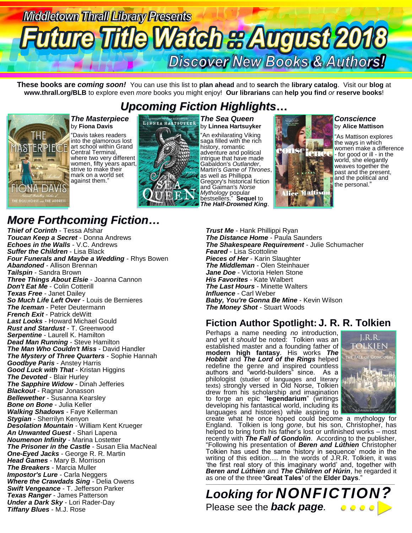

**These books are** *coming soon!* You can use this list to **plan ahead** and to **search** the **library catalog**. Visit our **blog** at **www.thrall.org/BLB** to explore even *more* books you might enjoy! **Our librarians** can **help you find** *or* **reserve books**!

## *Upcoming Fiction Highlights…*



*The Masterpiece* by **Fiona Davis** "Davis takes readers into the glamorous lost art school within Grand Central Terminal, where two very different women, fifty years apart, strive to make their mark on a world set against them."



*The Sea Queen* by **Linnea Hartsuyker** "An exhilarating Viking saga filled with the rich history, romantic adventure and political intrigue that have made Gabaldon's *Outlander*, Martin's *Game of Thrones*, as well as Phillippa Gregory's historical fiction and Gaiman's *Norse Mythology* popular bestsellers." **Sequel** to *The Half-Drowned King*.



### *Conscience*  by **Alice Mattison**

"As Mattison explores the ways in which women make a difference - for good or ill - in the world, she elegantly weaves together the past and the present, and the political and the personal."

## *More Forthcoming Fiction…*

*Thief of Corinth* - Tessa Afshar *Toucan Keep a Secret* - Donna Andrews *Echoes in the Walls* - V.C. Andrews *Suffer the Children* - Lisa Black *Four Funerals and Maybe a Wedding* - Rhys Bowen *Abandoned* - Allison Brennan *Tailspin* - Sandra Brown *Three Things About Elsie* - Joanna Cannon *Don't Eat Me* - Colin Cotterill *Texas Free* - Janet Dailey *So Much Life Left Over* - Louis de Bernieres *The Iceman* - Peter Deutermann *French Exit* - Patrick deWitt *Last Looks* - Howard Michael Gould *Rust and Stardust* - T. Greenwood *Serpentine* - Laurell K. Hamilton *Dead Man Running* - Steve Hamilton *The Man Who Couldn't Miss* - David Handler *The Mystery of Three Quarters* - Sophie Hannah *Goodbye Paris* - Anstey Harris *Good Luck with That* - Kristan Higgins *The Devoted* - Blair Hurley *The Sapphire Widow* - Dinah Jefferies *Blackout* - Ragnar Jonasson *Bellewether* - Susanna Kearsley *Bone on Bone* - Julia Keller *Walking Shadows* - Faye Kellerman *Stygian* - Sherrilyn Kenyon *Desolation Mountain* - William Kent Krueger *An Unwanted Guest* - Shari Lapena *Noumenon Infinity* - Marina Lostetter *The Prisoner in the Castle* - Susan Elia MacNeal *One-Eyed Jacks* - George R. R. Martin *Head Games* - Mary B. Morrison *The Breakers* - Marcia Muller *Impostor's Lure* - Carla Neggers *Where the Crawdads Sing* - Delia Owens *Swift Vengeance* - T. Jefferson Parker *Texas Ranger* - James Patterson *Under a Dark Sky* - Lori Rader-Day *Tiffany Blues* - M.J. Rose

*Trust Me* - Hank Phillippi Ryan **The Distance Home** - Paula Saunders *The Shakespeare Requirement* - Julie Schumacher *Feared* - Lisa Scottoline *Pieces of Her* - Karin Slaughter *The Middleman* - Olen Steinhauer *Jane Doe* - Victoria Helen Stone *His Favorites* - Kate Walbert *The Last Hours* - Minette Walters *Influence* - Carl Weber *Baby, You're Gonna Be Mine* - Kevin Wilson *The Money Shot* - Stuart Woods

### **Fiction Author Spotlight: J. R. R. Tolkien**

Perhaps a name needing *no* introduction, and yet it *should* be noted: Tolkien was an established master and a founding father of **modern high fantasy**. His works *The Hobbit* and *The Lord of the Rings* helped redefine the genre and inspired countless authors and "world-builders" since. As a philologist (studier of languages and literary texts) strongly versed in Old Norse, Tolkien drew from his scholarship and imagination to forge an epic "**legendarium**" (writings developing his fantastical world, including its languages and histories) while aspiring to



create what he once hoped could become a mythology for England. Tolkien is long *gone*, but his son, Christopher, has helped to bring forth his father's lost or unfinished works – most recently with *The Fall of Gondolin*. According to the publisher, "Following his presentation of *Beren and Lúthien* Christopher Tolkien has used the same 'history in sequence' mode in the writing of this edition…. In the words of J.R.R. Tolkien, it was 'the first real story of this imaginary world' and, together with *Beren and Lúthien* and *The Children of Húrin*, he regarded it as one of the three **'Great Tales'** of the **Elder Days**."